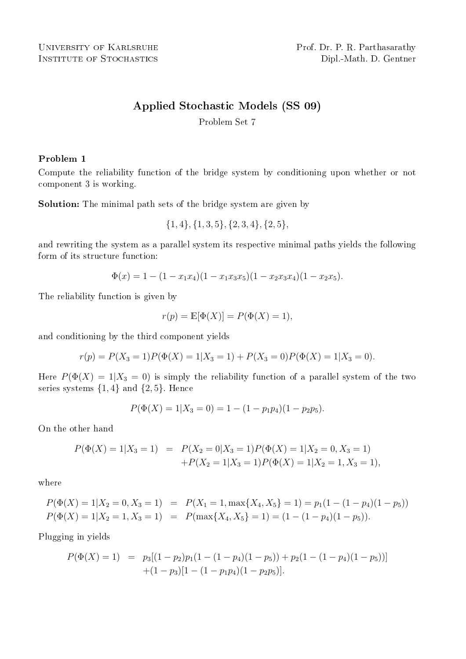# Applied Stochastic Models (SS 09)

Problem Set 7

#### Problem 1

Compute the reliability function of the bridge system by conditioning upon whether or not component 3 is working.

Solution: The minimal path sets of the bridge system are given by

$$
\{1,4\}, \{1,3,5\}, \{2,3,4\}, \{2,5\},
$$

and rewriting the system as a parallel system its respective minimal paths yields the following form of its structure function:

$$
\Phi(x) = 1 - (1 - x_1 x_4)(1 - x_1 x_3 x_5)(1 - x_2 x_3 x_4)(1 - x_2 x_5).
$$

The reliability function is given by

$$
r(p) = \mathbb{E}[\Phi(X)] = P(\Phi(X) = 1),
$$

and conditioning by the third component yields

$$
r(p) = P(X_3 = 1)P(\Phi(X) = 1|X_3 = 1) + P(X_3 = 0)P(\Phi(X) = 1|X_3 = 0).
$$

Here  $P(\Phi(X) = 1 | X_3 = 0)$  is simply the reliability function of a parallel system of the two series systems  $\{1,4\}$  and  $\{2,5\}$ . Hence

$$
P(\Phi(X) = 1 | X_3 = 0) = 1 - (1 - p_1 p_4)(1 - p_2 p_5).
$$

On the other hand

$$
P(\Phi(X) = 1 | X_3 = 1) = P(X_2 = 0 | X_3 = 1) P(\Phi(X) = 1 | X_2 = 0, X_3 = 1) + P(X_2 = 1 | X_3 = 1) P(\Phi(X) = 1 | X_2 = 1, X_3 = 1),
$$

where

$$
P(\Phi(X) = 1 | X_2 = 0, X_3 = 1) = P(X_1 = 1, \max\{X_4, X_5\} = 1) = p_1(1 - (1 - p_4)(1 - p_5))
$$
  

$$
P(\Phi(X) = 1 | X_2 = 1, X_3 = 1) = P(\max\{X_4, X_5\} = 1) = (1 - (1 - p_4)(1 - p_5)).
$$

Plugging in yields

$$
P(\Phi(X) = 1) = p_3[(1 - p_2)p_1(1 - (1 - p_4)(1 - p_5)) + p_2(1 - (1 - p_4)(1 - p_5))]
$$
  
+(1 - p\_3)[1 - (1 - p\_1p\_4)(1 - p\_2p\_5)].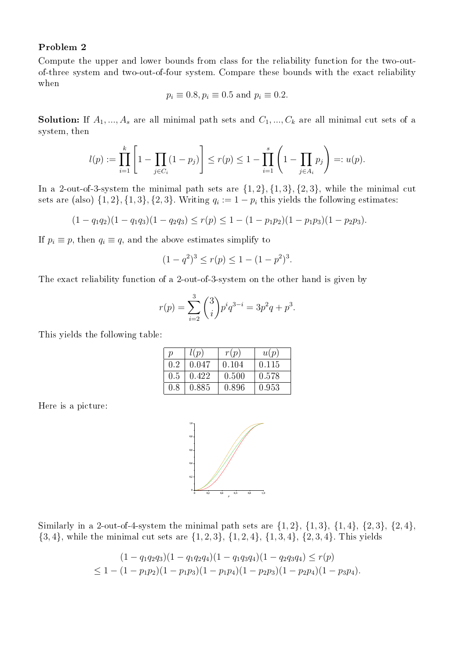#### Problem 2

Compute the upper and lower bounds from class for the reliability function for the two-outof-three system and two-out-of-four system. Compare these bounds with the exact reliability when

$$
p_i \equiv 0.8, p_i \equiv 0.5 \text{ and } p_i \equiv 0.2.
$$

**Solution:** If  $A_1, ..., A_s$  are all minimal path sets and  $C_1, ..., C_k$  are all minimal cut sets of a system, then

$$
l(p) := \prod_{i=1}^{k} \left[ 1 - \prod_{j \in C_i} (1 - p_j) \right] \le r(p) \le 1 - \prod_{i=1}^{s} \left( 1 - \prod_{j \in A_i} p_j \right) =: u(p).
$$

In a 2-out-of-3-system the minimal path sets are  $\{1,2\}, \{1,3\}, \{2,3\}$ , while the minimal cut sets are (also)  $\{1, 2\}, \{1, 3\}, \{2, 3\}.$  Writing  $q_i := 1 - p_i$  this yields the following estimates:

$$
(1 - q_1 q_2)(1 - q_1 q_3)(1 - q_2 q_3) \le r(p) \le 1 - (1 - p_1 p_2)(1 - p_1 p_3)(1 - p_2 p_3).
$$

If  $p_i \equiv p$ , then  $q_i \equiv q$ , and the above estimates simplify to

$$
(1 - q^2)^3 \le r(p) \le 1 - (1 - p^2)^3.
$$

The exact reliability function of a 2-out-of-3-system on the other hand is given by

$$
r(p) = \sum_{i=2}^{3} {3 \choose i} p^{i} q^{3-i} = 3p^2q + p^3.
$$

This yields the following table:

| $\boldsymbol{v}$ | l(p)  | r(p)  | u(p)  |
|------------------|-------|-------|-------|
| 0.2              | 0.047 | 0.104 | 0.115 |
| 0.5              | 0.422 | 0.500 | 0.578 |
| 0.8              | 0.885 | 0.896 | 0.953 |

Here is a picture:



Similarly in a 2-out-of-4-system the minimal path sets are  $\{1, 2\}$ ,  $\{1, 3\}$ ,  $\{1, 4\}$ ,  $\{2, 3\}$ ,  $\{2, 4\}$ ,  $\{3, 4\}$ , while the minimal cut sets are  $\{1, 2, 3\}$ ,  $\{1, 2, 4\}$ ,  $\{1, 3, 4\}$ ,  $\{2, 3, 4\}$ . This yields

$$
(1 - q_1 q_2 q_3)(1 - q_1 q_2 q_4)(1 - q_1 q_3 q_4)(1 - q_2 q_3 q_4) \le r(p)
$$
  
 
$$
\le 1 - (1 - p_1 p_2)(1 - p_1 p_3)(1 - p_1 p_4)(1 - p_2 p_3)(1 - p_2 p_4)(1 - p_3 p_4).
$$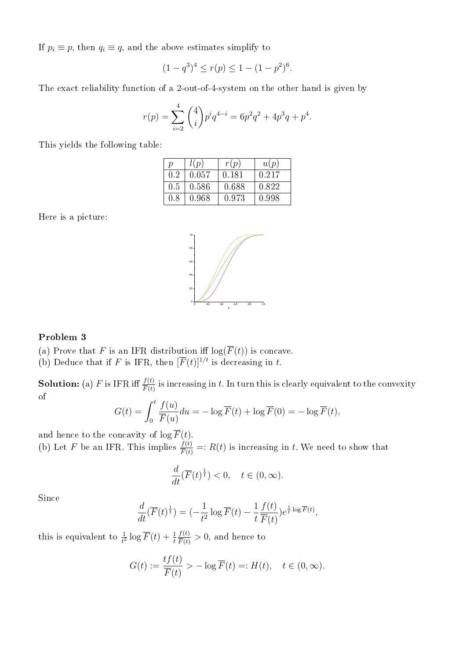If  $p_i \equiv p$ , then  $q_i \equiv q$ , and the above estimates simplify to

$$
(1 - q^3)^4 \le r(p) \le 1 - (1 - p^2)^6.
$$

The exact reliability function of a 2-out-of-4-system on the other hand is given by

$$
r(p) = \sum_{i=2}^{4} {4 \choose i} p^i q^{4-i} = 6p^2q^2 + 4p^3q + p^4.
$$

This yields the following table:

| $\boldsymbol{p}$ | l(p)  | r(p)  | u(p)  |
|------------------|-------|-------|-------|
| 0.2              | 0.057 | 0.181 | 0.217 |
| 0.5              | 0.586 | 0.688 | 0.822 |
| 0.8              | 0.968 | 0.973 | 0.998 |

Here is a picture:



### Problem 3

(a) Prove that F is an IFR distribution iff  $log(\overline{F}(t))$  is concave.

(b) Deduce that if F is IFR, then  $\overline{F}(t)^{1/t}$  is decreasing in t.

**Solution:** (a) F is IFR iff  $\frac{f(t)}{\overline{F}(t)}$  is increasing in t. In turn this is clearly equivalent to the convexity of

$$
G(t) = \int_0^t \frac{f(u)}{\overline{F}(u)} du = -\log \overline{F}(t) + \log \overline{F}(0) = -\log \overline{F}(t),
$$

and hence to the concavity of  $\log \overline{F}(t)$ . (b) Let F be an IFR. This implies  $\frac{f(t)}{F(t)} =: R(t)$  is increasing in t. We need to show that

$$
\frac{d}{dt}(\overline{F}(t)^{\frac{1}{t}}) < 0, \quad t \in (0, \infty).
$$

Since

$$
\frac{d}{dt}(\overline{F}(t)^{\frac{1}{t}}) = \left(-\frac{1}{t^2}\log \overline{F}(t) - \frac{1}{t}\frac{f(t)}{\overline{F}(t)}\right)e^{\frac{1}{t}\log \overline{F}(t)},
$$

this is equivalent to  $\frac{1}{t^2} \log \overline{F}(t) + \frac{1}{t}$  $f(t)$  $\frac{f(t)}{\overline{F}(t)} > 0$ , and hence to

$$
G(t) := \frac{t f(t)}{\overline{F}(t)} > -\log \overline{F}(t) =: H(t), \quad t \in (0, \infty).
$$